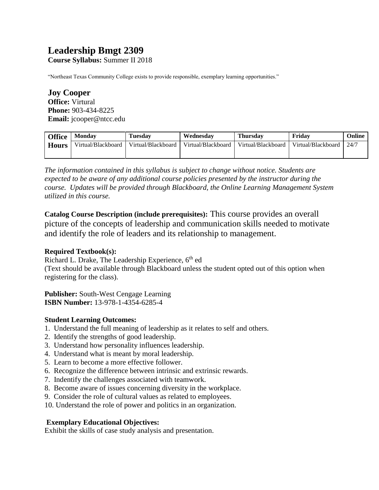# **Leadership Bmgt 2309**

**Course Syllabus:** Summer II 2018

"Northeast Texas Community College exists to provide responsible, exemplary learning opportunities."

**Joy Cooper Office:** Virtural **Phone:** 903-434-8225 **Email:** jcooper@ntcc.edu

| <b>Office</b> | <b>Monday</b>      | <b>Tuesday</b>     | Wednesdav          | <b>Thursday</b>    | Fridav             | Online |
|---------------|--------------------|--------------------|--------------------|--------------------|--------------------|--------|
| <b>Hours</b>  | Virtual/Blackboard | Virtual/Blackboard | Virtual/Blackboard | Virtual/Blackboard | Virtual/Blackboard | 24/7   |
|               |                    |                    |                    |                    |                    |        |

*The information contained in this syllabus is subject to change without notice. Students are expected to be aware of any additional course policies presented by the instructor during the course. Updates will be provided through Blackboard, the Online Learning Management System utilized in this course.* 

**Catalog Course Description (include prerequisites):** This course provides an overall picture of the concepts of leadership and communication skills needed to motivate and identify the role of leaders and its relationship to management.

#### **Required Textbook(s):**

Richard L. Drake, The Leadership Experience, 6<sup>th</sup> ed (Text should be available through Blackboard unless the student opted out of this option when registering for the class).

**Publisher:** South-West Cengage Learning **ISBN Number:** 13-978-1-4354-6285-4

# **Student Learning Outcomes:**

- 1. Understand the full meaning of leadership as it relates to self and others.
- 2. Identify the strengths of good leadership.
- 3. Understand how personality influences leadership.
- 4. Understand what is meant by moral leadership.
- 5. Learn to become a more effective follower.
- 6. Recognize the difference between intrinsic and extrinsic rewards.
- 7. Indentify the challenges associated with teamwork.
- 8. Become aware of issues concerning diversity in the workplace.
- 9. Consider the role of cultural values as related to employees.
- 10. Understand the role of power and politics in an organization.

# **Exemplary Educational Objectives:**

Exhibit the skills of case study analysis and presentation.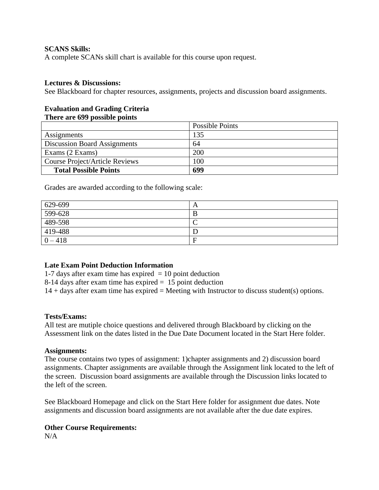## **SCANS Skills:**

A complete SCANs skill chart is available for this course upon request.

### **Lectures & Discussions:**

See Blackboard for chapter resources, assignments, projects and discussion board assignments.

#### **Evaluation and Grading Criteria There are 699 possible points**

|                                     | Possible Points |
|-------------------------------------|-----------------|
| Assignments                         | 135             |
| <b>Discussion Board Assignments</b> | 64              |
| Exams (2 Exams)                     | 200             |
| Course Project/Article Reviews      | 100             |
| <b>Total Possible Points</b>        | 699             |

Grades are awarded according to the following scale:

| 629-699   | A |
|-----------|---|
| 599-628   | B |
| 489-598   |   |
| 419-488   |   |
| $0 - 418$ | E |

# **Late Exam Point Deduction Information**

1-7 days after exam time has expired  $= 10$  point deduction

8-14 days after exam time has expired = 15 point deduction

 $14 + days$  after exam time has expired = Meeting with Instructor to discuss student(s) options.

#### **Tests/Exams:**

All test are mutiple choice questions and delivered through Blackboard by clicking on the Assessment link on the dates listed in the Due Date Document located in the Start Here folder.

#### **Assignments:**

The course contains two types of assignment: 1)chapter assignments and 2) discussion board assignments. Chapter assignments are available through the Assignment link located to the left of the screen. Discussion board assignments are available through the Discussion links located to the left of the screen.

See Blackboard Homepage and click on the Start Here folder for assignment due dates. Note assignments and discussion board assignments are not available after the due date expires.

# **Other Course Requirements:**

N/A